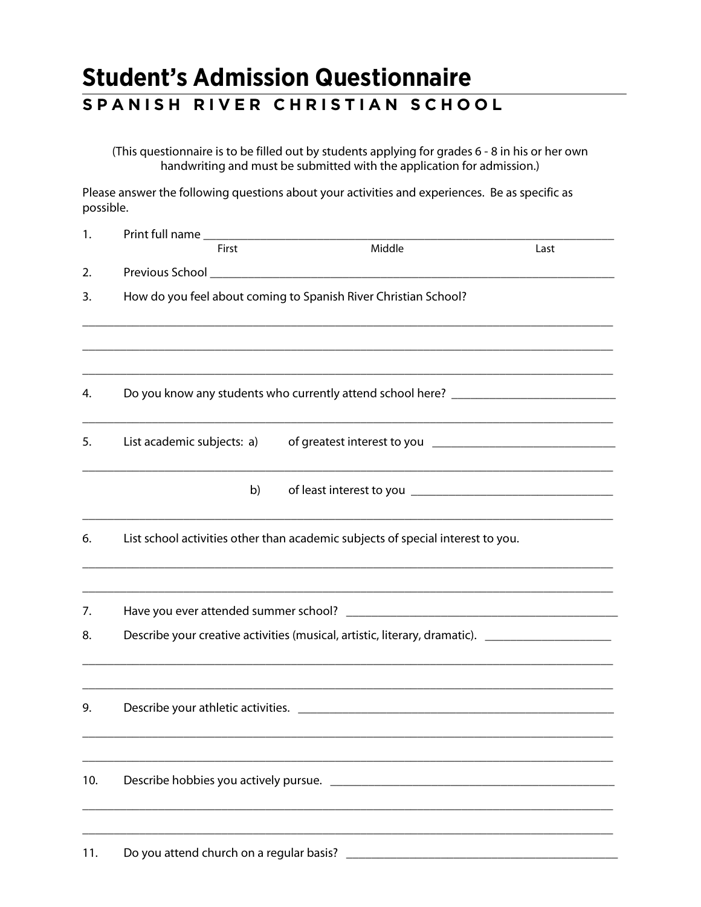## **Student's Admission Questionnaire SPANISH RIVER CHRISTIAN SCHOOL**

(This questionnaire is to be filled out by students applying for grades 6 - 8 in his or her own handwriting and must be submitted with the application for admission.)

Please answer the following questions about your activities and experiences. Be as specific as possible.

| 1.  |                                                                                                                                                      |        |      |
|-----|------------------------------------------------------------------------------------------------------------------------------------------------------|--------|------|
|     | First                                                                                                                                                | Middle | Last |
| 2.  |                                                                                                                                                      |        |      |
| 3.  | How do you feel about coming to Spanish River Christian School?                                                                                      |        |      |
|     |                                                                                                                                                      |        |      |
| 4.  | Do you know any students who currently attend school here? _____________________                                                                     |        |      |
| 5.  | List academic subjects: a)                                                                                                                           |        |      |
|     | b)                                                                                                                                                   |        |      |
| 6.  | <u> 1989 - Johann Barbara, margaret eta idazlearia (h. 1989).</u><br>List school activities other than academic subjects of special interest to you. |        |      |
| 7.  |                                                                                                                                                      |        |      |
| 8.  | Describe your creative activities (musical, artistic, literary, dramatic). ________________________                                                  |        |      |
| 9.  |                                                                                                                                                      |        |      |
| 10. |                                                                                                                                                      |        |      |
| 11. | Do you attend church on a regular basis?                                                                                                             |        |      |